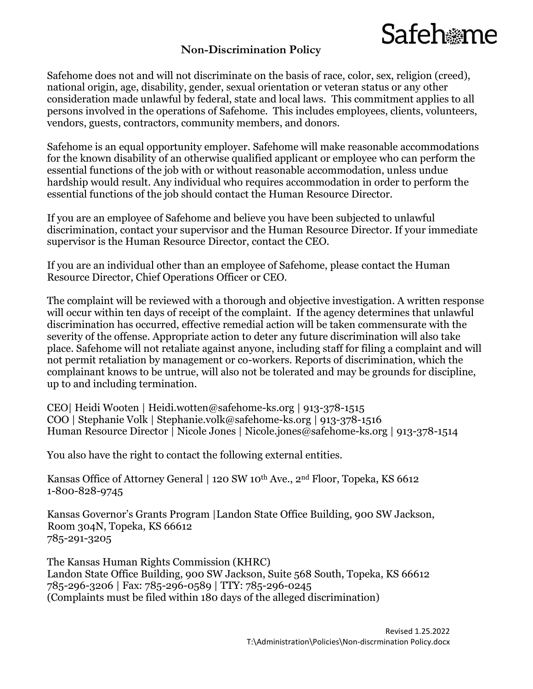### **Non-Discrimination Policy**

## Safeh me

Safehome does not and will not discriminate on the basis of race, color, sex, religion (creed), national origin, age, disability, gender, sexual orientation or veteran status or any other consideration made unlawful by federal, state and local laws. This commitment applies to all persons involved in the operations of Safehome. This includes employees, clients, volunteers, vendors, guests, contractors, community members, and donors.

Safehome is an equal opportunity employer. Safehome will make reasonable accommodations for the known disability of an otherwise qualified applicant or employee who can perform the essential functions of the job with or without reasonable accommodation, unless undue hardship would result. Any individual who requires accommodation in order to perform the essential functions of the job should contact the Human Resource Director.

If you are an employee of Safehome and believe you have been subjected to unlawful discrimination, contact your supervisor and the Human Resource Director. If your immediate supervisor is the Human Resource Director, contact the CEO.

If you are an individual other than an employee of Safehome, please contact the Human Resource Director, Chief Operations Officer or CEO.

The complaint will be reviewed with a thorough and objective investigation. A written response will occur within ten days of receipt of the complaint. If the agency determines that unlawful discrimination has occurred, effective remedial action will be taken commensurate with the severity of the offense. Appropriate action to deter any future discrimination will also take place. Safehome will not retaliate against anyone, including staff for filing a complaint and will not permit retaliation by management or co-workers. Reports of discrimination, which the complainant knows to be untrue, will also not be tolerated and may be grounds for discipline, up to and including termination.

CEO| Heidi Wooten | [Heidi.wotten@safehome-ks.org](mailto:Heidi.wotten@safehome-ks.org) | 913-378-1515 COO | Stephanie Volk | [Stephanie.volk@safehome-ks.org](mailto:Stephanie.volk@safehome-ks.org) | 913-378-1516 Human Resource Director | Nicole Jones | [Nicole.jones@safehome-ks.](mailto:Nicole.jones@safehome-ks)org | 913-378-1514

You also have the right to contact the following external entities.

Kansas Office of Attorney General | 120 SW 10<sup>th</sup> Ave., 2<sup>nd</sup> Floor, Topeka, KS 6612 1-800-828-9745

Kansas Governor's Grants Program |Landon State Office Building, 900 SW Jackson, Room 304N, Topeka, KS 66612 785-291-3205

The Kansas Human Rights Commission (KHRC) Landon State Office Building, 900 SW Jackson, Suite 568 South, Topeka, KS 66612 785-296-3206 | Fax: 785-296-0589 | TTY: 785-296-0245 (Complaints must be filed within 180 days of the alleged discrimination)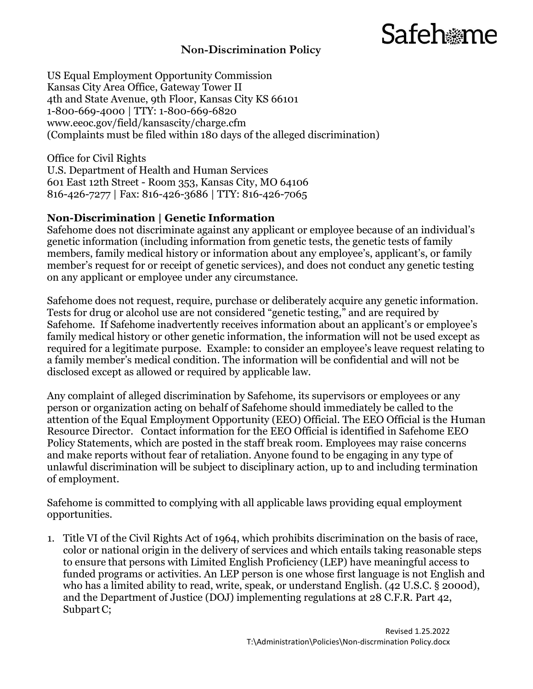## Safeh*a*me

#### **Non-Discrimination Policy**

US Equal Employment Opportunity Commission Kansas City Area Office, Gateway Tower II 4th and State Avenue, 9th Floor, Kansas City KS 66101 1-800-669-4000 | TTY: 1-800-669-6820 www.eeoc.gov/field/kansascity/charge.cfm (Complaints must be filed within 180 days of the alleged discrimination)

Office for Civil Rights U.S. Department of Health and Human Services 601 East 12th Street - Room 353, Kansas City, MO 64106 816-426-7277 | Fax: 816-426-3686 | TTY: 816-426-7065

#### **Non-Discrimination | Genetic Information**

Safehome does not discriminate against any applicant or employee because of an individual's genetic information (including information from genetic tests, the genetic tests of family members, family medical history or information about any employee's, applicant's, or family member's request for or receipt of genetic services), and does not conduct any genetic testing on any applicant or employee under any circumstance.

Safehome does not request, require, purchase or deliberately acquire any genetic information. Tests for drug or alcohol use are not considered "genetic testing," and are required by Safehome. If Safehome inadvertently receives information about an applicant's or employee's family medical history or other genetic information, the information will not be used except as required for a legitimate purpose. Example: to consider an employee's leave request relating to a family member's medical condition. The information will be confidential and will not be disclosed except as allowed or required by applicable law.

Any complaint of alleged discrimination by Safehome, its supervisors or employees or any person or organization acting on behalf of Safehome should immediately be called to the attention of the Equal Employment Opportunity (EEO) Official. The EEO Official is the Human Resource Director. Contact information for the EEO Official is identified in Safehome EEO Policy Statements, which are posted in the staff break room. Employees may raise concerns and make reports without fear of retaliation. Anyone found to be engaging in any type of unlawful discrimination will be subject to disciplinary action, up to and including termination of employment.

Safehome is committed to complying with all applicable laws providing equal employment opportunities.

1. Title VI of the Civil Rights Act of 1964, which prohibits discrimination on the basis of race, color or national origin in the delivery of services and which entails taking reasonable steps to ensure that persons with Limited English Proficiency (LEP) have meaningful access to funded programs or activities. An LEP person is one whose first language is not English and who has a limited ability to read, write, speak, or understand English. (42 U.S.C. § 2000d), and the Department of Justice (DOJ) implementing regulations at 28 C.F.R. Part 42, Subpart C;